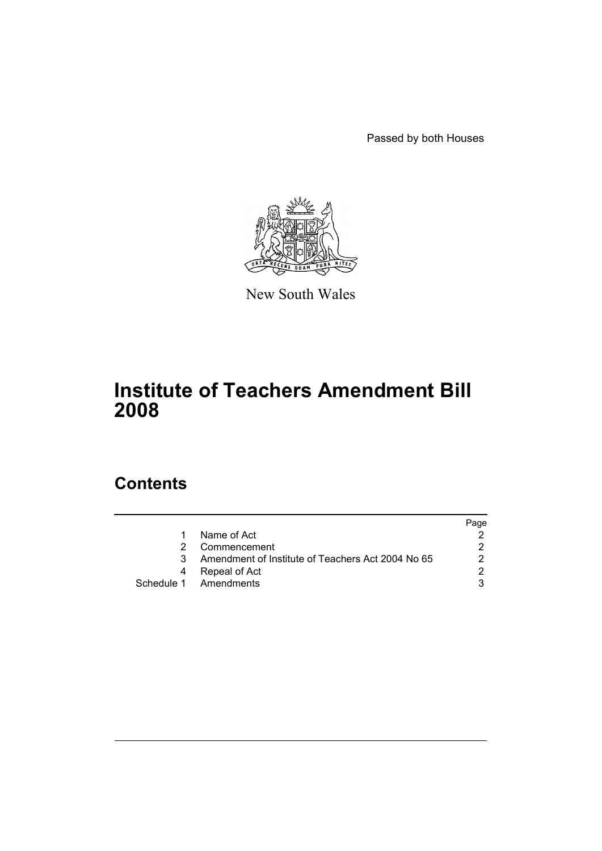Passed by both Houses



New South Wales

# **Institute of Teachers Amendment Bill 2008**

## **Contents**

|   |                                                   | Page |
|---|---------------------------------------------------|------|
|   | Name of Act                                       |      |
|   | Commencement                                      |      |
| 3 | Amendment of Institute of Teachers Act 2004 No 65 |      |
|   | Repeal of Act                                     |      |
|   | Schedule 1 Amendments                             |      |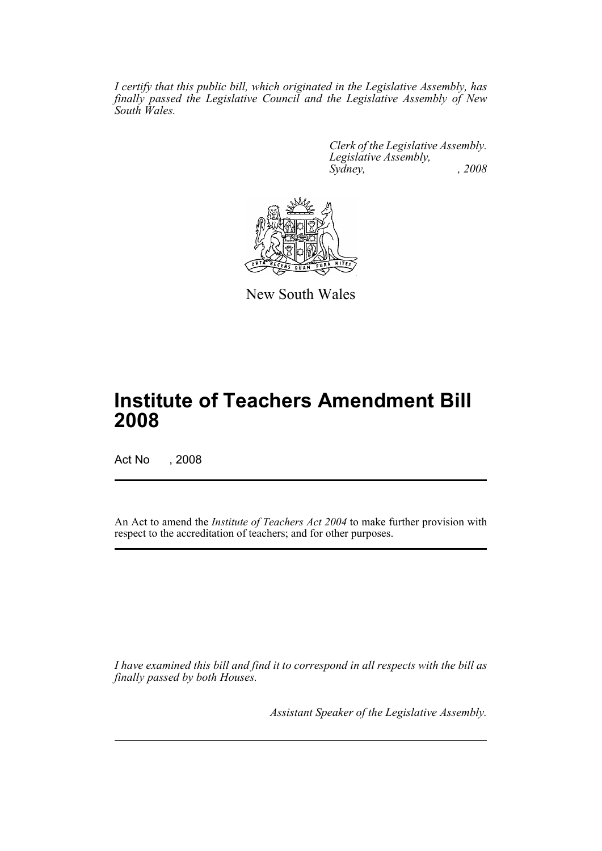*I certify that this public bill, which originated in the Legislative Assembly, has finally passed the Legislative Council and the Legislative Assembly of New South Wales.*

> *Clerk of the Legislative Assembly. Legislative Assembly, Sydney, , 2008*



New South Wales

# **Institute of Teachers Amendment Bill 2008**

Act No , 2008

An Act to amend the *Institute of Teachers Act 2004* to make further provision with respect to the accreditation of teachers; and for other purposes.

*I have examined this bill and find it to correspond in all respects with the bill as finally passed by both Houses.*

*Assistant Speaker of the Legislative Assembly.*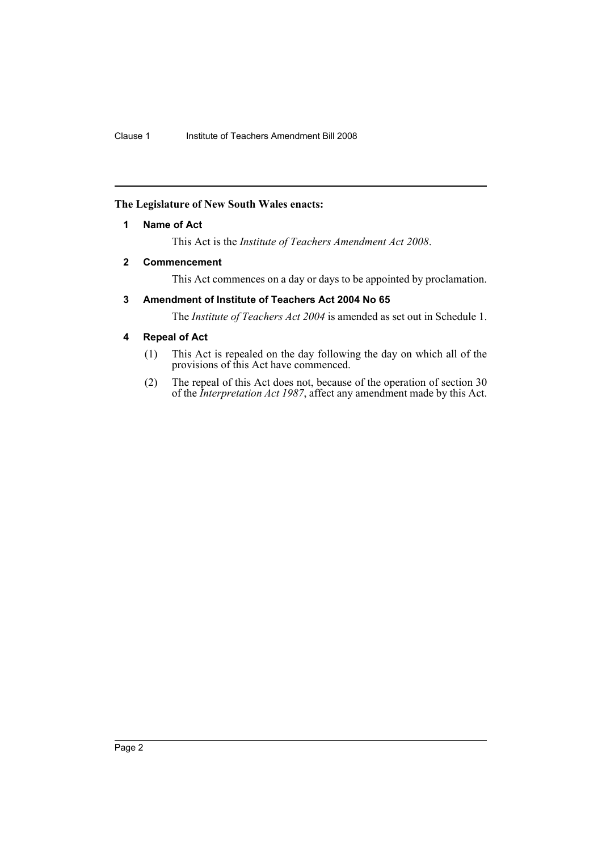## <span id="page-2-0"></span>**The Legislature of New South Wales enacts:**

## **1 Name of Act**

This Act is the *Institute of Teachers Amendment Act 2008*.

## <span id="page-2-1"></span>**2 Commencement**

This Act commences on a day or days to be appointed by proclamation.

## <span id="page-2-2"></span>**3 Amendment of Institute of Teachers Act 2004 No 65**

The *Institute of Teachers Act 2004* is amended as set out in Schedule 1.

## <span id="page-2-3"></span>**4 Repeal of Act**

- (1) This Act is repealed on the day following the day on which all of the provisions of this Act have commenced.
- (2) The repeal of this Act does not, because of the operation of section 30 of the *Interpretation Act 1987*, affect any amendment made by this Act.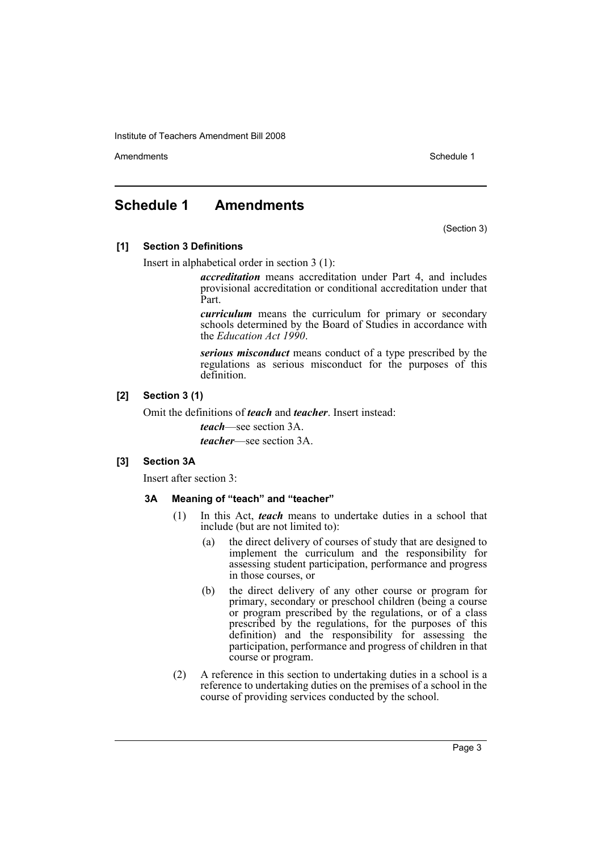Amendments **Amendments** Schedule 1

## <span id="page-3-0"></span>**Schedule 1 Amendments**

(Section 3)

## **[1] Section 3 Definitions**

Insert in alphabetical order in section 3 (1):

*accreditation* means accreditation under Part 4, and includes provisional accreditation or conditional accreditation under that Part.

*curriculum* means the curriculum for primary or secondary schools determined by the Board of Studies in accordance with the *Education Act 1990*.

*serious misconduct* means conduct of a type prescribed by the regulations as serious misconduct for the purposes of this definition.

## **[2] Section 3 (1)**

Omit the definitions of *teach* and *teacher*. Insert instead:

*teach*—see section 3A.

*teacher*—see section 3A.

## **[3] Section 3A**

Insert after section 3:

#### **3A Meaning of "teach" and "teacher"**

- (1) In this Act, *teach* means to undertake duties in a school that include (but are not limited to):
	- (a) the direct delivery of courses of study that are designed to implement the curriculum and the responsibility for assessing student participation, performance and progress in those courses, or
	- (b) the direct delivery of any other course or program for primary, secondary or preschool children (being a course or program prescribed by the regulations, or of a class prescribed by the regulations, for the purposes of this definition) and the responsibility for assessing the participation, performance and progress of children in that course or program.
- (2) A reference in this section to undertaking duties in a school is a reference to undertaking duties on the premises of a school in the course of providing services conducted by the school.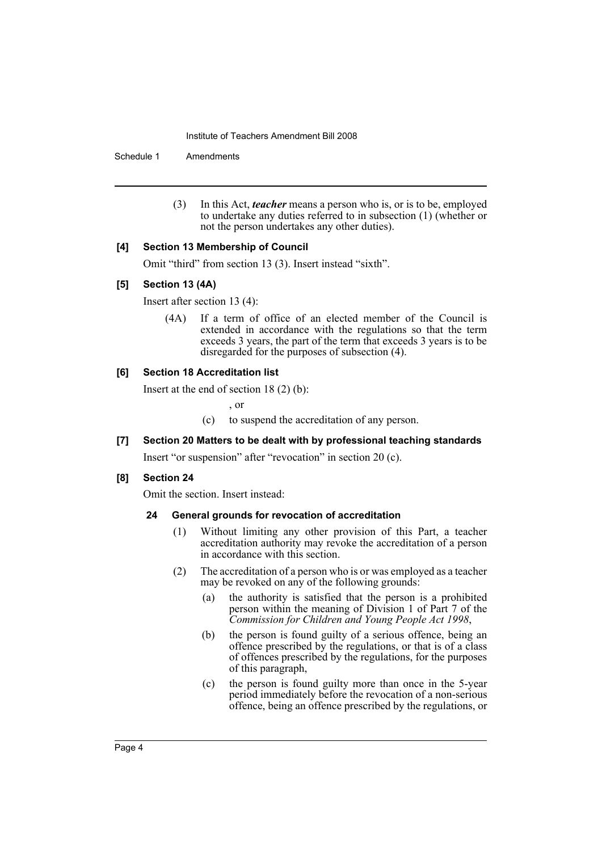Schedule 1 Amendments

(3) In this Act, *teacher* means a person who is, or is to be, employed to undertake any duties referred to in subsection (1) (whether or not the person undertakes any other duties).

#### **[4] Section 13 Membership of Council**

Omit "third" from section 13 (3). Insert instead "sixth".

#### **[5] Section 13 (4A)**

Insert after section 13 (4):

(4A) If a term of office of an elected member of the Council is extended in accordance with the regulations so that the term exceeds 3 years, the part of the term that exceeds 3 years is to be disregarded for the purposes of subsection (4).

#### **[6] Section 18 Accreditation list**

Insert at the end of section 18 (2) (b):

, or

(c) to suspend the accreditation of any person.

## **[7] Section 20 Matters to be dealt with by professional teaching standards**

Insert "or suspension" after "revocation" in section 20 (c).

## **[8] Section 24**

Omit the section. Insert instead:

## **24 General grounds for revocation of accreditation**

- (1) Without limiting any other provision of this Part, a teacher accreditation authority may revoke the accreditation of a person in accordance with this section.
- (2) The accreditation of a person who is or was employed as a teacher may be revoked on any of the following grounds:
	- (a) the authority is satisfied that the person is a prohibited person within the meaning of Division 1 of Part 7 of the *Commission for Children and Young People Act 1998*,
	- (b) the person is found guilty of a serious offence, being an offence prescribed by the regulations, or that is of a class of offences prescribed by the regulations, for the purposes of this paragraph,
	- (c) the person is found guilty more than once in the 5-year period immediately before the revocation of a non-serious offence, being an offence prescribed by the regulations, or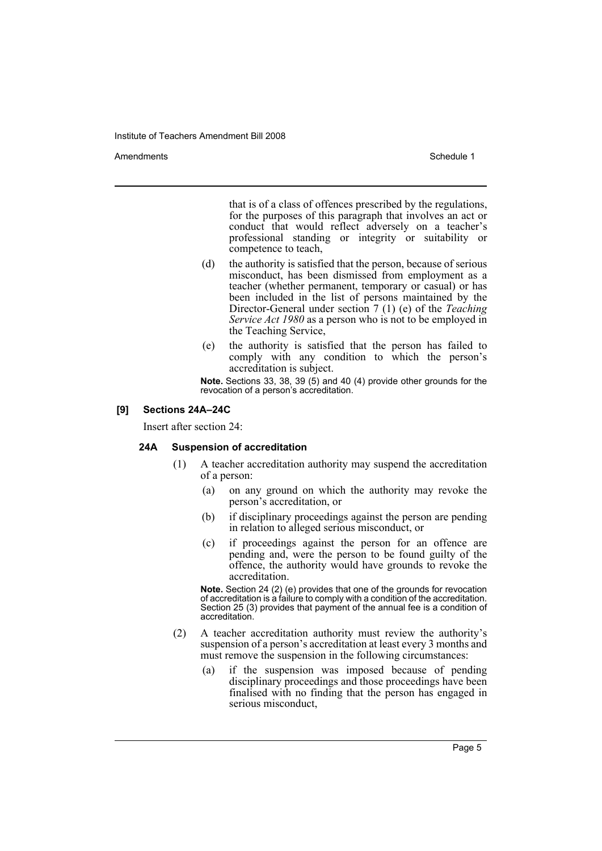Amendments **Amendments** Schedule 1

that is of a class of offences prescribed by the regulations, for the purposes of this paragraph that involves an act or conduct that would reflect adversely on a teacher's professional standing or integrity or suitability or competence to teach,

- (d) the authority is satisfied that the person, because of serious misconduct, has been dismissed from employment as a teacher (whether permanent, temporary or casual) or has been included in the list of persons maintained by the Director-General under section 7 (1) (e) of the *Teaching Service Act 1980* as a person who is not to be employed in the Teaching Service,
- (e) the authority is satisfied that the person has failed to comply with any condition to which the person's accreditation is subject.

**Note.** Sections 33, 38, 39 (5) and 40 (4) provide other grounds for the revocation of a person's accreditation.

#### **[9] Sections 24A–24C**

Insert after section 24:

#### **24A Suspension of accreditation**

- (1) A teacher accreditation authority may suspend the accreditation of a person:
	- (a) on any ground on which the authority may revoke the person's accreditation, or
	- (b) if disciplinary proceedings against the person are pending in relation to alleged serious misconduct, or
	- (c) if proceedings against the person for an offence are pending and, were the person to be found guilty of the offence, the authority would have grounds to revoke the accreditation.

**Note.** Section 24 (2) (e) provides that one of the grounds for revocation of accreditation is a failure to comply with a condition of the accreditation. Section 25 (3) provides that payment of the annual fee is a condition of accreditation.

- (2) A teacher accreditation authority must review the authority's suspension of a person's accreditation at least every 3 months and must remove the suspension in the following circumstances:
	- (a) if the suspension was imposed because of pending disciplinary proceedings and those proceedings have been finalised with no finding that the person has engaged in serious misconduct,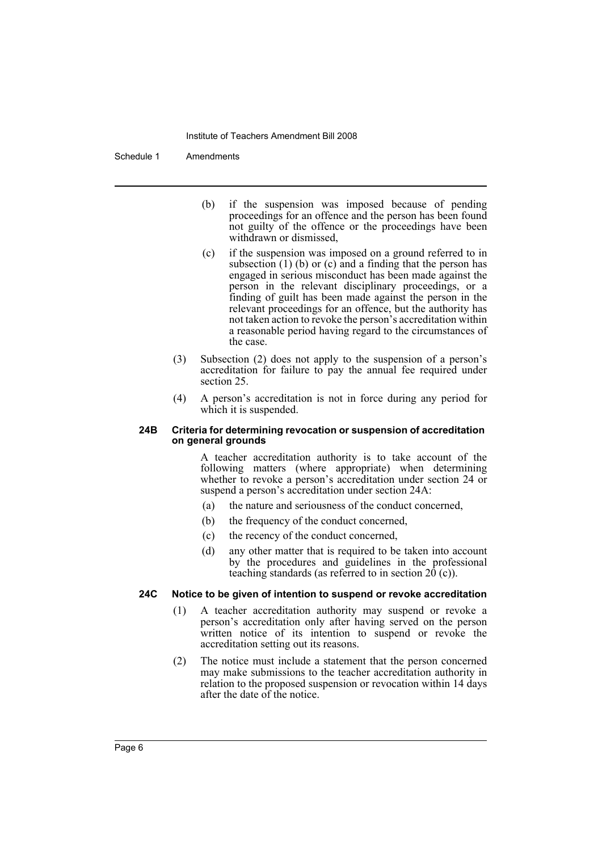Schedule 1 Amendments

- (b) if the suspension was imposed because of pending proceedings for an offence and the person has been found not guilty of the offence or the proceedings have been withdrawn or dismissed,
- (c) if the suspension was imposed on a ground referred to in subsection  $(1)$  (b) or  $(c)$  and a finding that the person has engaged in serious misconduct has been made against the person in the relevant disciplinary proceedings, or a finding of guilt has been made against the person in the relevant proceedings for an offence, but the authority has not taken action to revoke the person's accreditation within a reasonable period having regard to the circumstances of the case.
- (3) Subsection (2) does not apply to the suspension of a person's accreditation for failure to pay the annual fee required under section 25.
- (4) A person's accreditation is not in force during any period for which it is suspended.

#### **24B Criteria for determining revocation or suspension of accreditation on general grounds**

A teacher accreditation authority is to take account of the following matters (where appropriate) when determining whether to revoke a person's accreditation under section 24 or suspend a person's accreditation under section 24A:

- (a) the nature and seriousness of the conduct concerned,
- (b) the frequency of the conduct concerned,
- (c) the recency of the conduct concerned,
- (d) any other matter that is required to be taken into account by the procedures and guidelines in the professional teaching standards (as referred to in section  $20$  (c)).

## **24C Notice to be given of intention to suspend or revoke accreditation**

- (1) A teacher accreditation authority may suspend or revoke a person's accreditation only after having served on the person written notice of its intention to suspend or revoke the accreditation setting out its reasons.
- (2) The notice must include a statement that the person concerned may make submissions to the teacher accreditation authority in relation to the proposed suspension or revocation within 14 days after the date of the notice.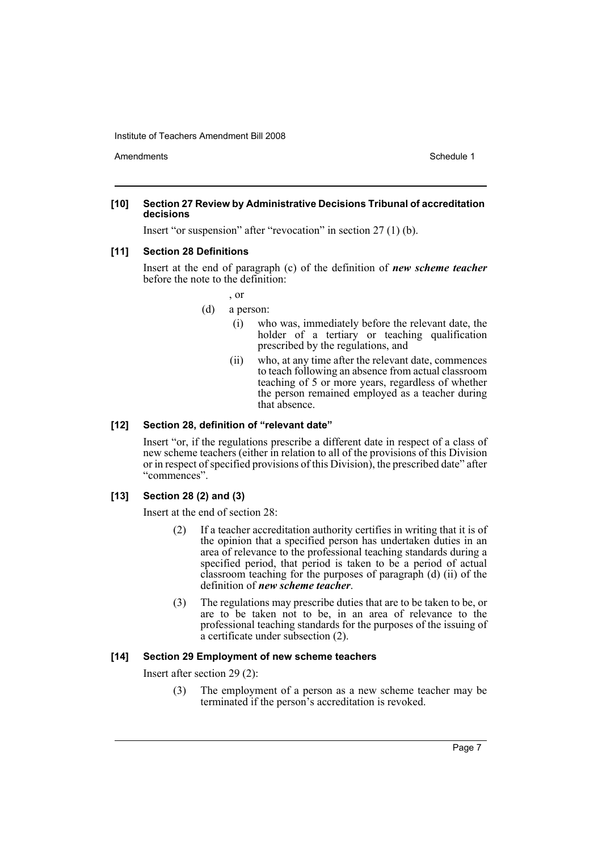Amendments **Amendments** Schedule 1

#### **[10] Section 27 Review by Administrative Decisions Tribunal of accreditation decisions**

Insert "or suspension" after "revocation" in section 27 (1) (b).

### **[11] Section 28 Definitions**

Insert at the end of paragraph (c) of the definition of *new scheme teacher* before the note to the definition:

- , or
- (d) a person:
	- (i) who was, immediately before the relevant date, the holder of a tertiary or teaching qualification prescribed by the regulations, and
	- (ii) who, at any time after the relevant date, commences to teach following an absence from actual classroom teaching of 5 or more years, regardless of whether the person remained employed as a teacher during that absence.

#### **[12] Section 28, definition of "relevant date"**

Insert "or, if the regulations prescribe a different date in respect of a class of new scheme teachers (either in relation to all of the provisions of this Division or in respect of specified provisions of this Division), the prescribed date" after "commences".

#### **[13] Section 28 (2) and (3)**

Insert at the end of section 28:

- (2) If a teacher accreditation authority certifies in writing that it is of the opinion that a specified person has undertaken duties in an area of relevance to the professional teaching standards during a specified period, that period is taken to be a period of actual classroom teaching for the purposes of paragraph (d) (ii) of the definition of *new scheme teacher*.
- (3) The regulations may prescribe duties that are to be taken to be, or are to be taken not to be, in an area of relevance to the professional teaching standards for the purposes of the issuing of a certificate under subsection (2).

## **[14] Section 29 Employment of new scheme teachers**

Insert after section 29 (2):

(3) The employment of a person as a new scheme teacher may be terminated if the person's accreditation is revoked.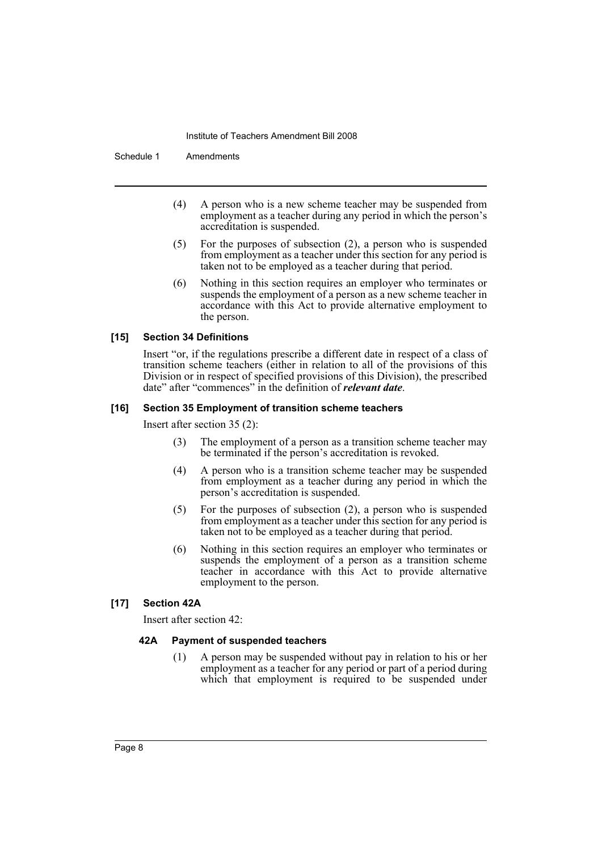Schedule 1 Amendments

- (4) A person who is a new scheme teacher may be suspended from employment as a teacher during any period in which the person's accreditation is suspended.
- (5) For the purposes of subsection (2), a person who is suspended from employment as a teacher under this section for any period is taken not to be employed as a teacher during that period.
- (6) Nothing in this section requires an employer who terminates or suspends the employment of a person as a new scheme teacher in accordance with this Act to provide alternative employment to the person.

#### **[15] Section 34 Definitions**

Insert "or, if the regulations prescribe a different date in respect of a class of transition scheme teachers (either in relation to all of the provisions of this Division or in respect of specified provisions of this Division), the prescribed date" after "commences" in the definition of *relevant date*.

#### **[16] Section 35 Employment of transition scheme teachers**

Insert after section 35 (2):

- (3) The employment of a person as a transition scheme teacher may be terminated if the person's accreditation is revoked.
- (4) A person who is a transition scheme teacher may be suspended from employment as a teacher during any period in which the person's accreditation is suspended.
- (5) For the purposes of subsection (2), a person who is suspended from employment as a teacher under this section for any period is taken not to be employed as a teacher during that period.
- (6) Nothing in this section requires an employer who terminates or suspends the employment of a person as a transition scheme teacher in accordance with this Act to provide alternative employment to the person.

## **[17] Section 42A**

Insert after section 42:

#### **42A Payment of suspended teachers**

(1) A person may be suspended without pay in relation to his or her employment as a teacher for any period or part of a period during which that employment is required to be suspended under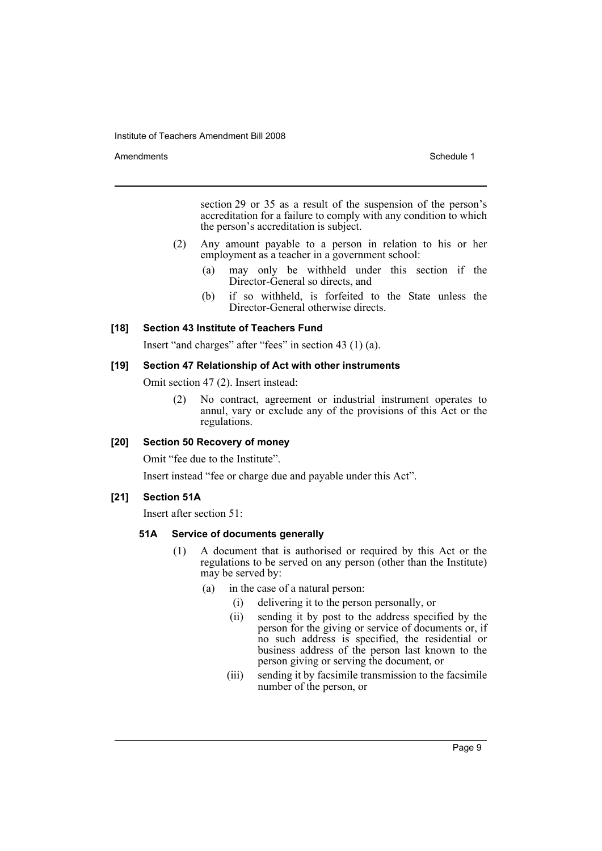Amendments **Schedule 1** and the set of the set of the set of the set of the set of the set of the set of the set of the set of the set of the set of the set of the set of the set of the set of the set of the set of the set

section 29 or 35 as a result of the suspension of the person's accreditation for a failure to comply with any condition to which the person's accreditation is subject.

- (2) Any amount payable to a person in relation to his or her employment as a teacher in a government school:
	- (a) may only be withheld under this section if the Director-General so directs, and
	- (b) if so withheld, is forfeited to the State unless the Director-General otherwise directs.

### **[18] Section 43 Institute of Teachers Fund**

Insert "and charges" after "fees" in section 43 (1) (a).

#### **[19] Section 47 Relationship of Act with other instruments**

Omit section 47 (2). Insert instead:

(2) No contract, agreement or industrial instrument operates to annul, vary or exclude any of the provisions of this Act or the regulations.

## **[20] Section 50 Recovery of money**

Omit "fee due to the Institute".

Insert instead "fee or charge due and payable under this Act".

#### **[21] Section 51A**

Insert after section 51:

#### **51A Service of documents generally**

- (1) A document that is authorised or required by this Act or the regulations to be served on any person (other than the Institute) may be served by:
	- (a) in the case of a natural person:
		- (i) delivering it to the person personally, or
		- (ii) sending it by post to the address specified by the person for the giving or service of documents or, if no such address is specified, the residential or business address of the person last known to the person giving or serving the document, or
		- (iii) sending it by facsimile transmission to the facsimile number of the person, or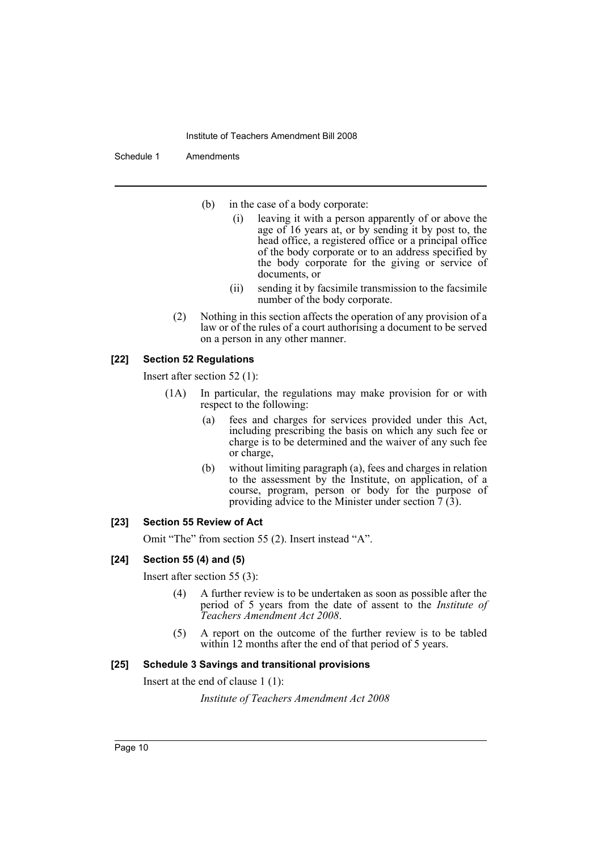#### Schedule 1 Amendments

- (b) in the case of a body corporate:
	- (i) leaving it with a person apparently of or above the age of 16 years at, or by sending it by post to, the head office, a registered office or a principal office of the body corporate or to an address specified by the body corporate for the giving or service of documents, or
	- (ii) sending it by facsimile transmission to the facsimile number of the body corporate.
- (2) Nothing in this section affects the operation of any provision of a law or of the rules of a court authorising a document to be served on a person in any other manner.

## **[22] Section 52 Regulations**

Insert after section 52 (1):

- (1A) In particular, the regulations may make provision for or with respect to the following:
	- (a) fees and charges for services provided under this Act, including prescribing the basis on which any such fee or charge is to be determined and the waiver of any such fee or charge,
	- (b) without limiting paragraph (a), fees and charges in relation to the assessment by the Institute, on application, of a course, program, person or body for the purpose of providing advice to the Minister under section  $\bar{7}$  (3).

## **[23] Section 55 Review of Act**

Omit "The" from section 55 (2). Insert instead "A".

#### **[24] Section 55 (4) and (5)**

Insert after section 55 (3):

- (4) A further review is to be undertaken as soon as possible after the period of 5 years from the date of assent to the *Institute of Teachers Amendment Act 2008*.
- (5) A report on the outcome of the further review is to be tabled within 12 months after the end of that period of 5 years.

#### **[25] Schedule 3 Savings and transitional provisions**

Insert at the end of clause 1 (1):

*Institute of Teachers Amendment Act 2008*